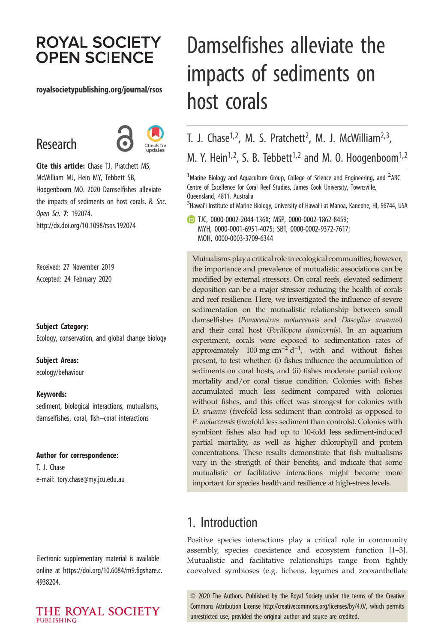# **ROYAL SOCIETY OPEN SCIENCE**

#### royalsocietypublishing.org/journal/rsos

# Research



Cite this article: Chase TJ, Pratchett MS, McWilliam MJ, Hein MY, Tebbett SB, Hoogenboom MO. 2020 Damselfishes alleviate the impacts of sediments on host corals. R. Soc. Open Sci. 7: 192074. http://dx.doi.org/10.1098/rsos.192074

Received: 27 November 2019 Accepted: 24 February 2020

Subject Category:

Ecology, conservation, and global change biology

#### Subject Areas:

ecology/behaviour

#### Keywords:

sediment, biological interactions, mutualisms, damselfishes, coral, fish–coral interactions

#### Author for correspondence:

T. J. Chase e-mail: [tory.chase@my.jcu.edu.au](mailto:tory.chase@my.jcu.edu.au)

Electronic supplementary material is available online at [https://doi.org/10.6084/m9.figshare.c.](https://doi.org/10.6084/m9.figshare.c.4938204) [4938204.](https://doi.org/10.6084/m9.figshare.c.4938204)

#### THE ROYAL SOCIETY **PUBLISHING**

# Damselfishes alleviate the impacts of sediments on host corals

T. J. Chase<sup>1,2</sup>, M. S. Pratchett<sup>2</sup>, M. J. McWilliam<sup>2,3</sup>, M. Y. Hein<sup>1,2</sup>, S. B. Tebbett<sup>1,2</sup> and M. O. Hoogenboom<sup>1,2</sup>

 $^1$ Marine Biology and Aquaculture Group, College of Science and Engineering, and  $^2$ ARC Centre of Excellence for Coral Reef Studies, James Cook University, Townsville, Queensland, 4811, Australia

 $^3$ Hawai'i Institute of Marine Biology, University of Hawai'i at Manoa, Kaneohe, HI, 96744, USA

TJC, [0000-0002-2044-136X;](http://orcid.org/0000-0002-2044-136X) MSP, [0000-0002-1862-8459;](http://orcid.org/0000-0002-1862-8459) MYH, [0000-0001-6951-4075;](http://orcid.org/0000-0001-6951-4075) SBT, [0000-0002-9372-7617;](http://orcid.org/0000-0002-9372-7617) MOH, [0000-0003-3709-6344](http://orcid.org/0000-0003-3709-6344)

Mutualisms play a critical role in ecological communities; however, the importance and prevalence of mutualistic associations can be modified by external stressors. On coral reefs, elevated sediment deposition can be a major stressor reducing the health of corals and reef resilience. Here, we investigated the influence of severe sedimentation on the mutualistic relationship between small damselfishes (Pomacentrus moluccensis and Dascyllus aruanus) and their coral host (Pocillopora damicornis). In an aquarium experiment, corals were exposed to sedimentation rates of approximately 100 mg cm<sup>-2</sup> d<sup>-1</sup>, with and without fishes present, to test whether: (i) fishes influence the accumulation of sediments on coral hosts, and (ii) fishes moderate partial colony mortality and/or coral tissue condition. Colonies with fishes accumulated much less sediment compared with colonies without fishes, and this effect was strongest for colonies with D. aruanus (fivefold less sediment than controls) as opposed to P. moluccensis (twofold less sediment than controls). Colonies with symbiont fishes also had up to 10-fold less sediment-induced partial mortality, as well as higher chlorophyll and protein concentrations. These results demonstrate that fish mutualisms vary in the strength of their benefits, and indicate that some mutualistic or facilitative interactions might become more important for species health and resilience at high-stress levels.

## 1. Introduction

Positive species interactions play a critical role in community assembly, species coexistence and ecosystem function [[1](#page-9-0)–[3](#page-9-0)]. Mutualistic and facilitative relationships range from tightly coevolved symbioses (e.g. lichens, legumes and zooxanthellate

© 2020 The Authors. Published by the Royal Society under the terms of the Creative Commons Attribution License<http://creativecommons.org/licenses/by/4.0/>, which permits unrestricted use, provided the original author and source are credited.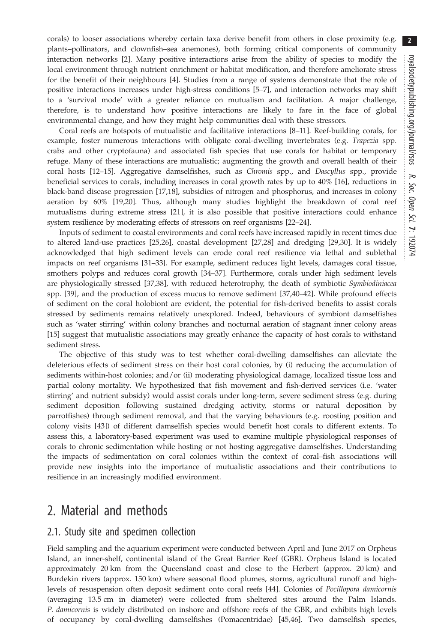corals) to looser associations whereby certain taxa derive benefit from others in close proximity (e.g. plants–pollinators, and clownfish–sea anemones), both forming critical components of community interaction networks [[2](#page-9-0)]. Many positive interactions arise from the ability of species to modify the local environment through nutrient enrichment or habitat modification, and therefore ameliorate stress for the benefit of their neighbours [[4](#page-10-0)]. Studies from a range of systems demonstrate that the role of positive interactions increases under high-stress conditions [[5](#page-10-0)–[7\]](#page-10-0), and interaction networks may shift to a 'survival mode' with a greater reliance on mutualism and facilitation. A major challenge, therefore, is to understand how positive interactions are likely to fare in the face of global environmental change, and how they might help communities deal with these stressors.

Coral reefs are hotspots of mutualistic and facilitative interactions [\[8](#page-10-0)–[11\]](#page-10-0). Reef-building corals, for example, foster numerous interactions with obligate coral-dwelling invertebrates (e.g. Trapezia spp. crabs and other cryptofauna) and associated fish species that use corals for habitat or temporary refuge. Many of these interactions are mutualistic; augmenting the growth and overall health of their coral hosts [\[12](#page-10-0)-[15\]](#page-10-0). Aggregative damselfishes, such as Chromis spp., and Dascyllus spp., provide beneficial services to corals, including increases in coral growth rates by up to 40% [[16\]](#page-10-0), reductions in black-band disease progression [\[17,18](#page-10-0)], subsidies of nitrogen and phosphorus, and increases in colony aeration by 60% [[19,20\]](#page-10-0). Thus, although many studies highlight the breakdown of coral reef mutualisms during extreme stress [\[21](#page-10-0)], it is also possible that positive interactions could enhance system resilience by moderating effects of stressors on reef organisms [[22](#page-10-0)–[24](#page-10-0)].

Inputs of sediment to coastal environments and coral reefs have increased rapidly in recent times due to altered land-use practices [[25,26\]](#page-10-0), coastal development [[27,28\]](#page-10-0) and dredging [[29,30](#page-10-0)]. It is widely acknowledged that high sediment levels can erode coral reef resilience via lethal and sublethal impacts on reef organisms [\[31](#page-10-0)–[33\]](#page-10-0). For example, sediment reduces light levels, damages coral tissue, smothers polyps and reduces coral growth [\[34](#page-10-0)–[37\]](#page-10-0). Furthermore, corals under high sediment levels are physiologically stressed [\[37](#page-10-0),[38\]](#page-10-0), with reduced heterotrophy, the death of symbiotic Symbiodiniacea spp. [\[39](#page-10-0)], and the production of excess mucus to remove sediment [\[37,40](#page-10-0)–[42\]](#page-10-0). While profound effects of sediment on the coral holobiont are evident, the potential for fish-derived benefits to assist corals stressed by sediments remains relatively unexplored. Indeed, behaviours of symbiont damselfishes such as 'water stirring' within colony branches and nocturnal aeration of stagnant inner colony areas [\[15](#page-10-0)] suggest that mutualistic associations may greatly enhance the capacity of host corals to withstand sediment stress.

The objective of this study was to test whether coral-dwelling damselfishes can alleviate the deleterious effects of sediment stress on their host coral colonies, by (i) reducing the accumulation of sediments within-host colonies; and/or (ii) moderating physiological damage, localized tissue loss and partial colony mortality. We hypothesized that fish movement and fish-derived services (i.e. 'water stirring' and nutrient subsidy) would assist corals under long-term, severe sediment stress (e.g. during sediment deposition following sustained dredging activity, storms or natural deposition by parrotfishes) through sediment removal, and that the varying behaviours (e.g. roosting position and colony visits [\[43](#page-10-0)]) of different damselfish species would benefit host corals to different extents. To assess this, a laboratory-based experiment was used to examine multiple physiological responses of corals to chronic sedimentation while hosting or not hosting aggregative damselfishes. Understanding the impacts of sedimentation on coral colonies within the context of coral–fish associations will provide new insights into the importance of mutualistic associations and their contributions to resilience in an increasingly modified environment.

## 2. Material and methods

## 2.1. Study site and specimen collection

Field sampling and the aquarium experiment were conducted between April and June 2017 on Orpheus Island, an inner-shelf, continental island of the Great Barrier Reef (GBR). Orpheus Island is located approximately 20 km from the Queensland coast and close to the Herbert (approx. 20 km) and Burdekin rivers (approx. 150 km) where seasonal flood plumes, storms, agricultural runoff and highlevels of resuspension often deposit sediment onto coral reefs [\[44](#page-10-0)]. Colonies of Pocillopora damicornis (averaging 13.5 cm in diameter) were collected from sheltered sites around the Palm Islands. P. damicornis is widely distributed on inshore and offshore reefs of the GBR, and exhibits high levels of occupancy by coral-dwelling damselfishes (Pomacentridae) [[45](#page-10-0),[46\]](#page-10-0). Two damselfish species,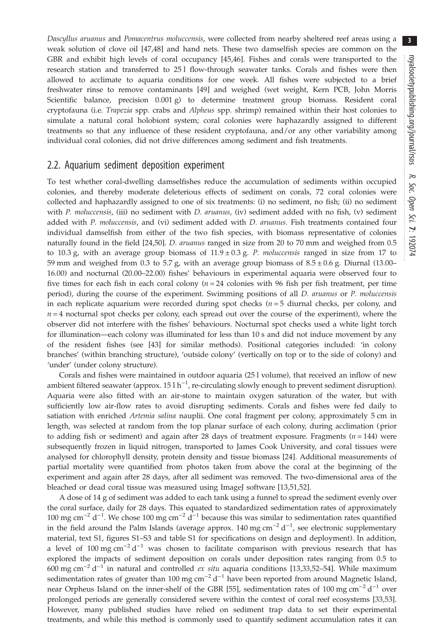Dascyllus aruanus and Pomacentrus moluccensis, were collected from nearby sheltered reef areas using a weak solution of clove oil [\[47,48](#page-10-0)] and hand nets. These two damselfish species are common on the GBR and exhibit high levels of coral occupancy [[45,46](#page-10-0)]. Fishes and corals were transported to the research station and transferred to 25 l flow-through seawater tanks. Corals and fishes were then allowed to acclimate to aquaria conditions for one week. All fishes were subjected to a brief freshwater rinse to remove contaminants [[49\]](#page-10-0) and weighed (wet weight, Kern PCB, John Morris Scientific balance, precision 0.001 g) to determine treatment group biomass. Resident coral cryptofauna (i.e. Trapezia spp. crabs and Alpheus spp. shrimp) remained within their host colonies to simulate a natural coral holobiont system; coral colonies were haphazardly assigned to different treatments so that any influence of these resident cryptofauna, and/or any other variability among individual coral colonies, did not drive differences among sediment and fish treatments.

### 2.2. Aquarium sediment deposition experiment

To test whether coral-dwelling damselfishes reduce the accumulation of sediments within occupied colonies, and thereby moderate deleterious effects of sediment on corals, 72 coral colonies were collected and haphazardly assigned to one of six treatments: (i) no sediment, no fish; (ii) no sediment with P. moluccensis, (iii) no sediment with D. aruanus, (iv) sediment added with no fish, (v) sediment added with P. moluccensis, and (vi) sediment added with D. aruanus. Fish treatments contained four individual damselfish from either of the two fish species, with biomass representative of colonies naturally found in the field [\[24](#page-10-0),[50\]](#page-10-0). *D. aruanus* ranged in size from 20 to 70 mm and weighed from 0.5 to 10.3 g, with an average group biomass of  $11.9 \pm 0.3$  g. P. moluccensis ranged in size from 17 to 59 mm and weighed from 0.3 to 5.7 g, with an average group biomass of  $8.5 \pm 0.6$  g. Diurnal (13.00– 16.00) and nocturnal (20.00–22.00) fishes' behaviours in experimental aquaria were observed four to five times for each fish in each coral colony ( $n = 24$  colonies with 96 fish per fish treatment, per time period), during the course of the experiment. Swimming positions of all *D. aruanus* or *P. moluccensis* in each replicate aquarium were recorded during spot checks  $(n = 5$  diurnal checks, per colony, and  $n = 4$  nocturnal spot checks per colony, each spread out over the course of the experiment), where the observer did not interfere with the fishes' behaviours. Nocturnal spot checks used a white light torch for illumination—each colony was illuminated for less than 10 s and did not induce movement by any of the resident fishes (see [\[43](#page-10-0)] for similar methods). Positional categories included: 'in colony branches' (within branching structure), 'outside colony' (vertically on top or to the side of colony) and 'under' (under colony structure).

Corals and fishes were maintained in outdoor aquaria (25 l volume), that received an inflow of new ambient filtered seawater (approx.  $15 \ln^{-1}$ , re-circulating slowly enough to prevent sediment disruption). Aquaria were also fitted with an air-stone to maintain oxygen saturation of the water, but with sufficiently low air-flow rates to avoid disrupting sediments. Corals and fishes were fed daily to satiation with enriched Artemia salina nauplii. One coral fragment per colony, approximately 5 cm in length, was selected at random from the top planar surface of each colony, during acclimation (prior to adding fish or sediment) and again after 28 days of treatment exposure. Fragments ( $n = 144$ ) were subsequently frozen in liquid nitrogen, transported to James Cook University, and coral tissues were analysed for chlorophyll density, protein density and tissue biomass [\[24](#page-10-0)]. Additional measurements of partial mortality were quantified from photos taken from above the coral at the beginning of the experiment and again after 28 days, after all sediment was removed. The two-dimensional area of the bleached or dead coral tissue was measured using ImageJ software [\[13](#page-10-0),[51,52\]](#page-11-0).

A dose of 14 g of sediment was added to each tank using a funnel to spread the sediment evenly over the coral surface, daily for 28 days. This equated to standardized sedimentation rates of approximately 100 mg cm<sup>-2</sup> d<sup>-1</sup>. We chose 100 mg cm<sup>-2</sup> d<sup>-1</sup> because this was similar to sedimentation rates quantified in the field around the Palm Islands (average approx. 140 mg cm<sup>-2</sup> d<sup>-1</sup>, see electronic supplementary material, text S1, figures S1–S3 and table S1 for specifications on design and deployment). In addition, a level of 100 mg cm<sup>-2</sup> d<sup>-1</sup> was chosen to facilitate comparison with previous research that has explored the impacts of sediment deposition on corals under deposition rates ranging from 0.5 to 600 mg cm<sup>-2</sup> d<sup>-1</sup> in natural and controlled *ex situ* aquaria conditions [\[13,33](#page-10-0),[52](#page-11-0)–[54](#page-11-0)]. While maximum sedimentation rates of greater than 100 mg cm<sup>-2</sup> d<sup>-1</sup> have been reported from around Magnetic Island, near Orpheus Island on the inner-shelf of the GBR [\[55](#page-11-0)], sedimentation rates of 100 mg cm<sup>-2</sup> d<sup>-1</sup> over prolonged periods are generally considered severe within the context of coral reef ecosystems [\[33](#page-10-0)[,53](#page-11-0)]. However, many published studies have relied on sediment trap data to set their experimental treatments, and while this method is commonly used to quantify sediment accumulation rates it can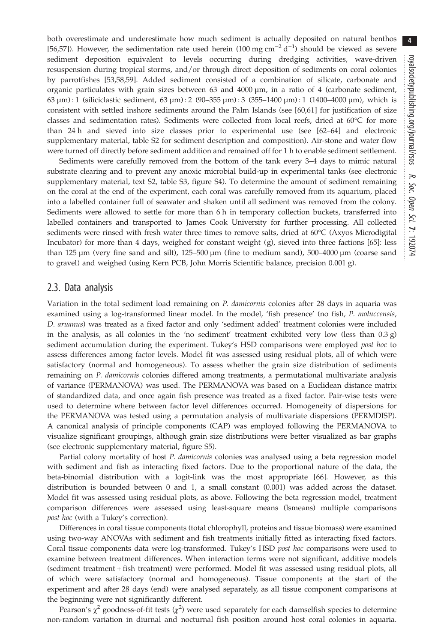both overestimate and underestimate how much sediment is actually deposited on natural benthos [\[56](#page-11-0),[57\]](#page-11-0)). However, the sedimentation rate used herein (100 mg cm<sup>-2</sup> d<sup>-1</sup>) should be viewed as severe sediment deposition equivalent to levels occurring during dredging activities, wave-driven resuspension during tropical storms, and/or through direct deposition of sediments on coral colonies by parrotfishes [[53,58,59](#page-11-0)]. Added sediment consisted of a combination of silicate, carbonate and organic particulates with grain sizes between 63 and  $4000 \mu m$ , in a ratio of 4 (carbonate sediment, 63  $\mu$ m) : 1 (siliciclastic sediment, 63  $\mu$ m) : 2 (90–355  $\mu$ m) : 3 (355–1400  $\mu$ m) : 1 (1400–4000  $\mu$ m), which is consistent with settled inshore sediments around the Palm Islands (see [[60,61\]](#page-11-0) for justification of size classes and sedimentation rates). Sediments were collected from local reefs, dried at 60°C for more than 24 h and sieved into size classes prior to experimental use (see [\[62](#page-11-0)–[64\]](#page-11-0) and electronic supplementary material, table S2 for sediment description and composition). Air-stone and water flow were turned off directly before sediment addition and remained off for 1 h to enable sediment settlement.

Sediments were carefully removed from the bottom of the tank every 3–4 days to mimic natural substrate clearing and to prevent any anoxic microbial build-up in experimental tanks (see electronic supplementary material, text S2, table S3, figure S4). To determine the amount of sediment remaining on the coral at the end of the experiment, each coral was carefully removed from its aquarium, placed into a labelled container full of seawater and shaken until all sediment was removed from the colony. Sediments were allowed to settle for more than 6 h in temporary collection buckets, transferred into labelled containers and transported to James Cook University for further processing. All collected sediments were rinsed with fresh water three times to remove salts, dried at 60°C (Axyos Microdigital Incubator) for more than 4 days, weighed for constant weight (g), sieved into three factions [[65\]](#page-11-0): less than 125 µm (very fine sand and silt), 125–500 µm (fine to medium sand), 500–4000 µm (coarse sand to gravel) and weighed (using Kern PCB, John Morris Scientific balance, precision 0.001 g).

#### 2.3. Data analysis

Variation in the total sediment load remaining on P. damicornis colonies after 28 days in aquaria was examined using a log-transformed linear model. In the model, 'fish presence' (no fish, P. moluccensis, D. aruanus) was treated as a fixed factor and only 'sediment added' treatment colonies were included in the analysis, as all colonies in the 'no sediment' treatment exhibited very low (less than  $(0.3 g)$ ) sediment accumulation during the experiment. Tukey's HSD comparisons were employed post hoc to assess differences among factor levels. Model fit was assessed using residual plots, all of which were satisfactory (normal and homogeneous). To assess whether the grain size distribution of sediments remaining on P. damicornis colonies differed among treatments, a permutational multivariate analysis of variance (PERMANOVA) was used. The PERMANOVA was based on a Euclidean distance matrix of standardized data, and once again fish presence was treated as a fixed factor. Pair-wise tests were used to determine where between factor level differences occurred. Homogeneity of dispersions for the PERMANOVA was tested using a permutation analysis of multivariate dispersions (PERMDISP). A canonical analysis of principle components (CAP) was employed following the PERMANOVA to visualize significant groupings, although grain size distributions were better visualized as bar graphs (see electronic supplementary material, figure S5).

Partial colony mortality of host P. damicornis colonies was analysed using a beta regression model with sediment and fish as interacting fixed factors. Due to the proportional nature of the data, the beta-binomial distribution with a logit-link was the most appropriate [[66\]](#page-11-0). However, as this distribution is bounded between 0 and 1, a small constant (0.001) was added across the dataset. Model fit was assessed using residual plots, as above. Following the beta regression model, treatment comparison differences were assessed using least-square means (lsmeans) multiple comparisons post hoc (with a Tukey's correction).

Differences in coral tissue components (total chlorophyll, proteins and tissue biomass) were examined using two-way ANOVAs with sediment and fish treatments initially fitted as interacting fixed factors. Coral tissue components data were log-transformed. Tukey's HSD post hoc comparisons were used to examine between treatment differences. When interaction terms were not significant, additive models (sediment treatment + fish treatment) were performed. Model fit was assessed using residual plots, all of which were satisfactory (normal and homogeneous). Tissue components at the start of the experiment and after 28 days (end) were analysed separately, as all tissue component comparisons at the beginning were not significantly different.

Pearson's  $\chi^2$  goodness-of-fit tests  $(\chi^2)$  were used separately for each damselfish species to determine non-random variation in diurnal and nocturnal fish position around host coral colonies in aquaria.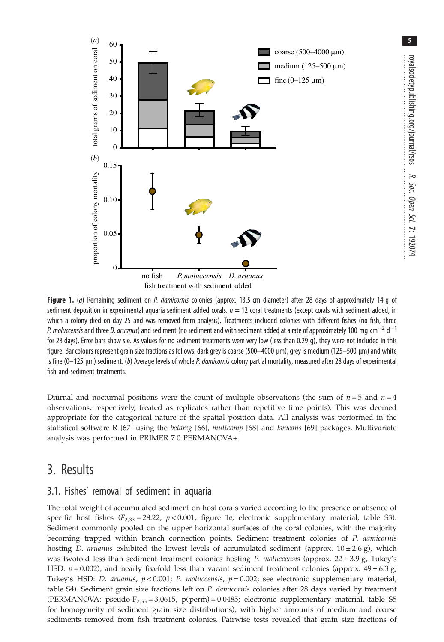<span id="page-4-0"></span>

Figure 1. (a) Remaining sediment on P. damicornis colonies (approx. 13.5 cm diameter) after 28 days of approximately 14 q of sediment deposition in experimental aquaria sediment added corals.  $n = 12$  coral treatments (except corals with sediment added, in which a colony died on day 25 and was removed from analysis). Treatments included colonies with different fishes (no fish, three P. moluccensis and three D. aruanus) and sediment (no sediment and with sediment added at a rate of approximately 100 mg cm $^{-2}$  d $^{-1}$ for 28 days). Error bars show s.e. As values for no sediment treatments were very low (less than 0.29 g), they were not included in this figure. Bar colours represent grain size fractions as follows: dark grey is coarse (500–4000 µm), grey is medium (125–500 µm) and white is fine (0-125 µm) sediment. (b) Average levels of whole P. damicornis colony partial mortality, measured after 28 days of experimental fish and sediment treatments.

Diurnal and nocturnal positions were the count of multiple observations (the sum of  $n = 5$  and  $n = 4$ ) observations, respectively, treated as replicates rather than repetitive time points). This was deemed appropriate for the categorical nature of the spatial position data. All analysis was performed in the statistical software R [\[67](#page-11-0)] using the betareg [\[66](#page-11-0)], multcomp [\[68](#page-11-0)] and *Ismeans* [[69\]](#page-11-0) packages. Multivariate analysis was performed in PRIMER 7.0 PERMANOVA+.

## 3. Results

## 3.1. Fishes' removal of sediment in aquaria

The total weight of accumulated sediment on host corals varied according to the presence or absence of specific host fishes  $(F_{2,33} = 28.22, p < 0.001,$  figure 1a; electronic supplementary material, table S3). Sediment commonly pooled on the upper horizontal surfaces of the coral colonies, with the majority becoming trapped within branch connection points. Sediment treatment colonies of P. damicornis hosting D. aruanus exhibited the lowest levels of accumulated sediment (approx.  $10 \pm 2.6$  g), which was twofold less than sediment treatment colonies hosting P. moluccensis (approx.  $22 \pm 3.9$  g, Tukey's HSD:  $p = 0.002$ ), and nearly fivefold less than vacant sediment treatment colonies (approx.  $49 \pm 6.3$  g, Tukey's HSD: D. aruanus,  $p < 0.001$ ; P. moluccensis,  $p = 0.002$ ; see electronic supplementary material, table S4). Sediment grain size fractions left on P. damicornis colonies after 28 days varied by treatment (PERMANOVA: pseudo- $F_{2,33} = 3.0615$ , p(perm) = 0.0485; electronic supplementary material, table S5 for homogeneity of sediment grain size distributions), with higher amounts of medium and coarse sediments removed from fish treatment colonies. Pairwise tests revealed that grain size fractions of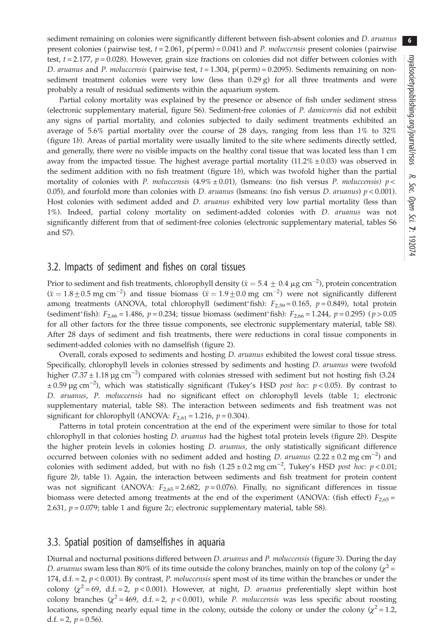sediment remaining on colonies were significantly different between fish-absent colonies and D. aruanus present colonies ( pairwise test,  $t = 2.061$ ,  $p(perm) = 0.041$ ) and *P. moluccensis* present colonies ( pairwise test,  $t = 2.177$ ,  $p = 0.028$ ). However, grain size fractions on colonies did not differ between colonies with D. aruanus and P. moluccensis (pairwise test,  $t = 1.304$ ,  $p(perm) = 0.2095$ ). Sediments remaining on nonsediment treatment colonies were very low (less than  $0.29 g$ ) for all three treatments and were probably a result of residual sediments within the aquarium system.

Partial colony mortality was explained by the presence or absence of fish under sediment stress (electronic supplementary material, figure S6). Sediment-free colonies of P. damicornis did not exhibit any signs of partial mortality, and colonies subjected to daily sediment treatments exhibited an average of 5.6% partial mortality over the course of 28 days, ranging from less than 1% to 32% [\(figure 1](#page-4-0)b). Areas of partial mortality were usually limited to the site where sediments directly settled, and generally, there were no visible impacts on the healthy coral tissue that was located less than 1 cm away from the impacted tissue. The highest average partial mortality  $(11.2\% \pm 0.03)$  was observed in the sediment addition with no fish treatment ([figure 1](#page-4-0)b), which was twofold higher than the partial mortality of colonies with P. moluccensis  $(4.9\% \pm 0.01)$ , (Ismeans: (no fish versus P. moluccensis)  $p <$ 0.05), and fourfold more than colonies with *D. aruanus* (Ismeans: (no fish versus *D. aruanus*)  $p < 0.001$ ). Host colonies with sediment added and *D. aruanus* exhibited very low partial mortality (less than 1%). Indeed, partial colony mortality on sediment-added colonies with D. aruanus was not significantly different from that of sediment-free colonies (electronic supplementary material, tables S6 and S7).

### 3.2. Impacts of sediment and fishes on coral tissues

Prior to sediment and fish treatments, chlorophyll density ( $\bar{x} = 5.4 \pm 0.4 \,\mu$ g cm<sup>-2</sup>), protein concentration  $(\bar{x} = 1.8 \pm 0.5 \text{ mg cm}^{-2})$  and tissue biomass  $(\bar{x} = 1.9 \pm 0.0 \text{ mg cm}^{-2})$  were not significantly different among treatments (ANOVA, total chlorophyll (sediment\*fish):  $F_{2,59} = 0.165$ ,  $p = 0.849$ ), total protein (sediment\*fish):  $F_{2,66} = 1.486$ ,  $p = 0.234$ ; tissue biomass (sediment\*fish):  $F_{2,66} = 1.244$ ,  $p = 0.295$ ) ( $p > 0.05$ for all other factors for the three tissue components, see electronic supplementary material, table S8). After 28 days of sediment and fish treatments, there were reductions in coral tissue components in sediment-added colonies with no damselfish ([figure 2](#page-6-0)).

Overall, corals exposed to sediments and hosting *D. aruanus* exhibited the lowest coral tissue stress. Specifically, chlorophyll levels in colonies stressed by sediments and hosting *D. aruanus* were twofold higher (7.37 ± 1.18 µg cm<sup>-2</sup>) compared with colonies stressed with sediment but not hosting fish (3.24 ± 0.59 µg cm−<sup>2</sup> ), which was statistically significant (Tukey's HSD post hoc: p < 0.05). By contrast to D. aruanus, P. moluccensis had no significant effect on chlorophyll levels [\(table 1;](#page-6-0) electronic supplementary material, table S8). The interaction between sediments and fish treatment was not significant for chlorophyll (ANOVA:  $F_{2,61} = 1.216$ ,  $p = 0.304$ ).

Patterns in total protein concentration at the end of the experiment were similar to those for total chlorophyll in that colonies hosting *D. aruanus* had the highest total protein levels [\(figure 2](#page-6-0)b). Despite the higher protein levels in colonies hosting *D. aruanus*, the only statistically significant difference occurred between colonies with no sediment added and hosting *D. aruanus* (2.22 ± 0.2 mg cm<sup>-2</sup>) and colonies with sediment added, but with no fish  $(1.25 \pm 0.2 \text{ mg cm}^{-2})$ , Tukey's HSD post hoc:  $p < 0.01$ ; [figure 2](#page-6-0)b, [table 1\)](#page-6-0). Again, the interaction between sediments and fish treatment for protein content was not significant (ANOVA:  $F_{2.65} = 2.682$ ,  $p = 0.076$ ). Finally, no significant differences in tissue biomass were detected among treatments at the end of the experiment (ANOVA: (fish effect)  $F_{2.65}$  = 2.631,  $p = 0.079$ ; [table 1](#page-6-0) and [figure 2](#page-6-0)c; electronic supplementary material, table S8).

## 3.3. Spatial position of damselfishes in aquaria

Diurnal and nocturnal positions differed between *D. aruanus* and *P. moluccensis* [\(figure 3\)](#page-7-0). During the day D. aruanus swam less than 80% of its time outside the colony branches, mainly on top of the colony  $(\chi^2 =$ 174, d.f. = 2,  $p < 0.001$ ). By contrast, P. moluccensis spent most of its time within the branches or under the colony  $(\chi^2 = 69, d.f. = 2, p < 0.001)$ . However, at night, *D. aruanus* preferentially slept within host colony branches  $(\chi^2 = 469, d.f. = 2, p < 0.001)$ , while *P. moluccensis* was less specific about roosting locations, spending nearly equal time in the colony, outside the colony or under the colony ( $\chi^2$  = 1.2, d.f. = 2,  $p = 0.56$ ).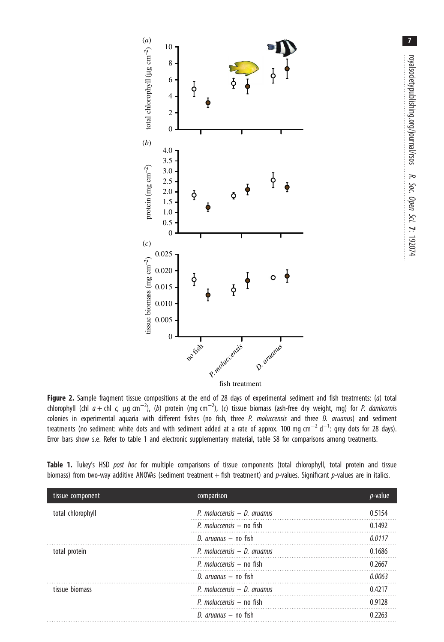<span id="page-6-0"></span>

Figure 2. Sample fragment tissue compositions at the end of 28 days of experimental sediment and fish treatments: (a) total chlorophyll (chl  $a$  + chl  $\zeta$   $\mu$ g cm<sup>-2</sup>), (b) protein (mg cm<sup>-2</sup>), (c) tissue biomass (ash-free dry weight, mg) for P. damicornis colonies in experimental aquaria with different fishes (no fish, three P. moluccensis and three D. aruanus) and sediment treatments (no sediment: white dots and with sediment added at a rate of approx. 100 mg cm $^{-2}$  d $^{-1}$ : grey dots for 28 days). Error bars show s.e. Refer to table 1 and electronic supplementary material, table S8 for comparisons among treatments.

|  |  |  |  |  |  | Table 1. Tukey's HSD post hoc for multiple comparisons of tissue components (total chlorophyll, total protein and tissue       |  |  |
|--|--|--|--|--|--|--------------------------------------------------------------------------------------------------------------------------------|--|--|
|  |  |  |  |  |  | biomass) from two-way additive ANOVAs (sediment treatment + fish treatment) and p-values. Significant p-values are in italics. |  |  |

| tissue component  | comparison                    | <i>p</i> -value |
|-------------------|-------------------------------|-----------------|
| total chlorophyll | P. moluccensis $-$ D. aruanus | 0.5154          |
|                   | P. moluccensis $-$ no fish    | 0.1492          |
|                   | D. <i>aruanus</i> – no fish   | 0.0117          |
| total protein     | P. moluccensis $-$ D. aruanus | 0.1686          |
|                   | P. moluccensis $-$ no fish    | 0.2667          |
|                   | D. <i>aruanus</i> – no fish   | 0 0063          |
| tissue biomass    | P. moluccensis $-$ D. aruanus | 04217           |
|                   | P. moluccensis $-$ no fish    | 0.9128          |
|                   | D. $aruanus - no fish$        |                 |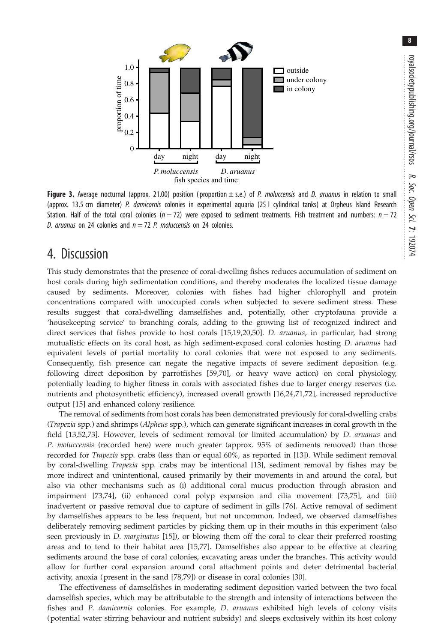8

<span id="page-7-0"></span>

Figure 3. Average nocturnal (approx. 21.00) position (proportion  $\pm$  s.e.) of P. moluccensis and D. aruanus in relation to small (approx. 13.5 cm diameter) P. damicornis colonies in experimental aquaria (25 l cylindrical tanks) at Orpheus Island Research Station. Half of the total coral colonies ( $n = 72$ ) were exposed to sediment treatments. Fish treatment and numbers:  $n = 72$ D. aruanus on 24 colonies and  $n = 72$  P. moluccensis on 24 colonies.

## 4. Discussion

This study demonstrates that the presence of coral-dwelling fishes reduces accumulation of sediment on host corals during high sedimentation conditions, and thereby moderates the localized tissue damage caused by sediments. Moreover, colonies with fishes had higher chlorophyll and protein concentrations compared with unoccupied corals when subjected to severe sediment stress. These results suggest that coral-dwelling damselfishes and, potentially, other cryptofauna provide a 'housekeeping service' to branching corals, adding to the growing list of recognized indirect and direct services that fishes provide to host corals [[15,19,20](#page-10-0),[50\]](#page-10-0). D. aruanus, in particular, had strong mutualistic effects on its coral host, as high sediment-exposed coral colonies hosting *D. aruanus* had equivalent levels of partial mortality to coral colonies that were not exposed to any sediments. Consequently, fish presence can negate the negative impacts of severe sediment deposition (e.g. following direct deposition by parrotfishes [\[59,70](#page-11-0)], or heavy wave action) on coral physiology, potentially leading to higher fitness in corals with associated fishes due to larger energy reserves (i.e. nutrients and photosynthetic efficiency), increased overall growth [[16,24](#page-10-0)[,71](#page-11-0),[72\]](#page-11-0), increased reproductive output [[15\]](#page-10-0) and enhanced colony resilience.

The removal of sediments from host corals has been demonstrated previously for coral-dwelling crabs (Trapezia spp.) and shrimps (Alpheus spp.), which can generate significant increases in coral growth in the field [[13,](#page-10-0)[52,73](#page-11-0)]. However, levels of sediment removal (or limited accumulation) by D. aruanus and P. moluccensis (recorded here) were much greater (approx. 95% of sediments removed) than those recorded for Trapezia spp. crabs (less than or equal 60%, as reported in [[13\]](#page-10-0)). While sediment removal by coral-dwelling Trapezia spp. crabs may be intentional [\[13](#page-10-0)], sediment removal by fishes may be more indirect and unintentional, caused primarily by their movements in and around the coral, but also via other mechanisms such as (i) additional coral mucus production through abrasion and impairment [\[73](#page-11-0),[74\]](#page-11-0), (ii) enhanced coral polyp expansion and cilia movement [\[73,75](#page-11-0)], and (iii) inadvertent or passive removal due to capture of sediment in gills [[76\]](#page-11-0). Active removal of sediment by damselfishes appears to be less frequent, but not uncommon. Indeed, we observed damselfishes deliberately removing sediment particles by picking them up in their mouths in this experiment (also seen previously in *D. marginatus* [[15\]](#page-10-0)), or blowing them off the coral to clear their preferred roosting areas and to tend to their habitat area [\[15](#page-10-0),[77\]](#page-11-0). Damselfishes also appear to be effective at clearing sediments around the base of coral colonies, excavating areas under the branches. This activity would allow for further coral expansion around coral attachment points and deter detrimental bacterial activity, anoxia (present in the sand [\[78,79\]](#page-11-0)) or disease in coral colonies [[30\]](#page-10-0).

The effectiveness of damselfishes in moderating sediment deposition varied between the two focal damselfish species, which may be attributable to the strength and intensity of interactions between the fishes and P. damicornis colonies. For example, D. aruanus exhibited high levels of colony visits (potential water stirring behaviour and nutrient subsidy) and sleeps exclusively within its host colony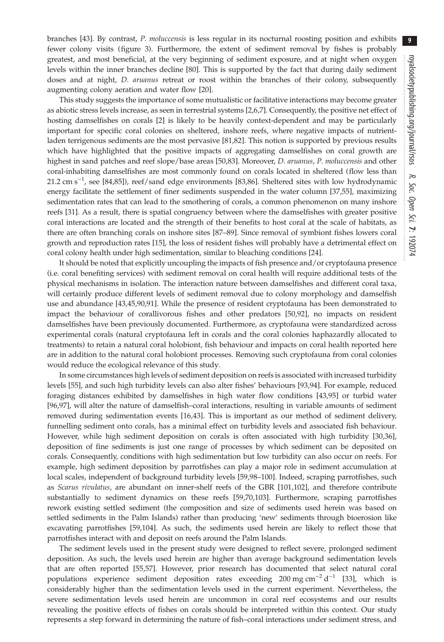branches [[43\]](#page-10-0). By contrast, P. moluccensis is less regular in its nocturnal roosting position and exhibits fewer colony visits ([figure 3\)](#page-7-0). Furthermore, the extent of sediment removal by fishes is probably greatest, and most beneficial, at the very beginning of sediment exposure, and at night when oxygen levels within the inner branches decline [[80\]](#page-11-0). This is supported by the fact that during daily sediment doses and at night, *D. aruanus* retreat or roost within the branches of their colony, subsequently augmenting colony aeration and water flow [[20\]](#page-10-0).

This study suggests the importance of some mutualistic or facilitative interactions may become greater as abiotic stress levels increase, as seen in terrestrial systems [[2](#page-9-0)[,6,7\]](#page-10-0). Consequently, the positive net effect of hosting damselfishes on corals [\[2\]](#page-9-0) is likely to be heavily context-dependent and may be particularly important for specific coral colonies on sheltered, inshore reefs, where negative impacts of nutrientladen terrigenous sediments are the most pervasive [\[81,82](#page-11-0)]. This notion is supported by previous results which have highlighted that the positive impacts of aggregating damselfishes on coral growth are highest in sand patches and reef slope/base areas [[50,](#page-10-0)[83\]](#page-11-0). Moreover, *D. aruanus*, *P. moluccensis* and other coral-inhabiting damselfishes are most commonly found on corals located in sheltered (flow less than 21.2 cm s<sup>-1</sup>, see [\[84](#page-11-0),[85](#page-11-0)]), reef/sand edge environments [[83,86\]](#page-11-0). Sheltered sites with low hydrodynamic energy facilitate the settlement of finer sediments suspended in the water column [[37,](#page-10-0)[55](#page-11-0)], maximizing sedimentation rates that can lead to the smothering of corals, a common phenomenon on many inshore reefs [[31](#page-10-0)]. As a result, there is spatial congruency between where the damselfishes with greater positive coral interactions are located and the strength of their benefits to host coral at the scale of habitats, as there are often branching corals on inshore sites [\[87](#page-11-0)–[89\]](#page-11-0). Since removal of symbiont fishes lowers coral growth and reproduction rates [[15\]](#page-10-0), the loss of resident fishes will probably have a detrimental effect on coral colony health under high sedimentation, similar to bleaching conditions [[24\]](#page-10-0).

It should be noted that explicitly uncoupling the impacts of fish presence and/or cryptofauna presence (i.e. coral benefiting services) with sediment removal on coral health will require additional tests of the physical mechanisms in isolation. The interaction nature between damselfishes and different coral taxa, will certainly produce different levels of sediment removal due to colony morphology and damselfish use and abundance [[43,45](#page-10-0)[,90,91](#page-11-0)]. While the presence of resident cryptofauna has been demonstrated to impact the behaviour of corallivorous fishes and other predators [\[50](#page-10-0),[92\]](#page-11-0), no impacts on resident damselfishes have been previously documented. Furthermore, as cryptofauna were standardized across experimental corals (natural cryptofauna left in corals and the coral colonies haphazardly allocated to treatments) to retain a natural coral holobiont, fish behaviour and impacts on coral health reported here are in addition to the natural coral holobiont processes. Removing such cryptofauna from coral colonies would reduce the ecological relevance of this study.

In some circumstances high levels of sediment deposition on reefs is associated with increased turbidity levels [\[55](#page-11-0)], and such high turbidity levels can also alter fishes' behaviours [[93,94](#page-11-0)]. For example, reduced foraging distances exhibited by damselfishes in high water flow conditions [[43](#page-10-0)[,95](#page-12-0)] or turbid water [\[96](#page-12-0),[97\]](#page-12-0), will alter the nature of damselfish–coral interactions, resulting in variable amounts of sediment removed during sedimentation events [[16,43\]](#page-10-0). This is important as our method of sediment delivery, funnelling sediment onto corals, has a minimal effect on turbidity levels and associated fish behaviour. However, while high sediment deposition on corals is often associated with high turbidity [\[30,36](#page-10-0)], deposition of fine sediments is just one range of processes by which sediment can be deposited on corals. Consequently, conditions with high sedimentation but low turbidity can also occur on reefs. For example, high sediment deposition by parrotfishes can play a major role in sediment accumulation at local scales, independent of background turbidity levels [\[59](#page-11-0)[,98](#page-12-0)–[100](#page-12-0)]. Indeed, scraping parrotfishes, such as Scarus rivulatus, are abundant on inner-shelf reefs of the GBR [[101,102\]](#page-12-0), and therefore contribute substantially to sediment dynamics on these reefs [\[59,70](#page-11-0),[103](#page-12-0)]. Furthermore, scraping parrotfishes rework existing settled sediment (the composition and size of sediments used herein was based on settled sediments in the Palm Islands) rather than producing 'new' sediments through bioerosion like excavating parrotfishes [[59,](#page-11-0)[104](#page-12-0)]. As such, the sediments used herein are likely to reflect those that parrotfishes interact with and deposit on reefs around the Palm Islands.

The sediment levels used in the present study were designed to reflect severe, prolonged sediment deposition. As such, the levels used herein are higher than average background sedimentation levels that are often reported [\[55](#page-11-0),[57\]](#page-11-0). However, prior research has documented that select natural coral populations experience sediment deposition rates exceeding 200 mg cm<sup>-2</sup> d<sup>-1</sup> [[33](#page-10-0)], which is considerably higher than the sedimentation levels used in the current experiment. Nevertheless, the severe sedimentation levels used herein are uncommon in coral reef ecosystems and our results revealing the positive effects of fishes on corals should be interpreted within this context. Our study represents a step forward in determining the nature of fish–coral interactions under sediment stress, and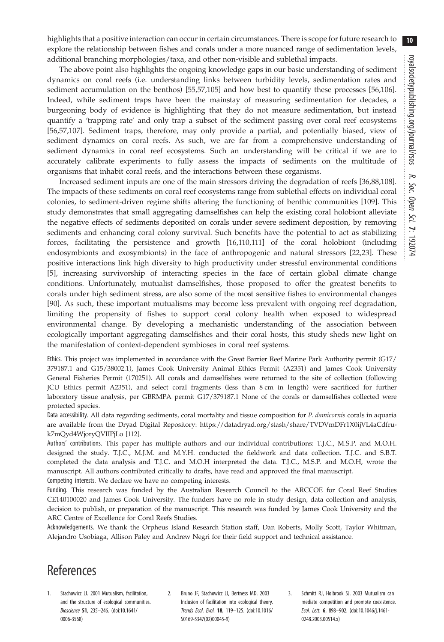$10$ 

<span id="page-9-0"></span>highlights that a positive interaction can occur in certain circumstances. There is scope for future research to explore the relationship between fishes and corals under a more nuanced range of sedimentation levels, additional branching morphologies/taxa, and other non-visible and sublethal impacts.

The above point also highlights the ongoing knowledge gaps in our basic understanding of sediment dynamics on coral reefs (i.e. understanding links between turbidity levels, sedimentation rates and sediment accumulation on the benthos) [[55,57](#page-11-0)[,105\]](#page-12-0) and how best to quantify these processes [[56,](#page-11-0)[106](#page-12-0)]. Indeed, while sediment traps have been the mainstay of measuring sedimentation for decades, a burgeoning body of evidence is highlighting that they do not measure sedimentation, but instead quantify a 'trapping rate' and only trap a subset of the sediment passing over coral reef ecosystems [\[56](#page-11-0),[57,](#page-11-0)[107](#page-12-0)]. Sediment traps, therefore, may only provide a partial, and potentially biased, view of sediment dynamics on coral reefs. As such, we are far from a comprehensive understanding of sediment dynamics in coral reef ecosystems. Such an understanding will be critical if we are to accurately calibrate experiments to fully assess the impacts of sediments on the multitude of organisms that inhabit coral reefs, and the interactions between these organisms.

Increased sediment inputs are one of the main stressors driving the degradation of reefs [\[36](#page-10-0),[88,](#page-11-0)[108](#page-12-0)]. The impacts of these sediments on coral reef ecosystems range from sublethal effects on individual coral colonies, to sediment-driven regime shifts altering the functioning of benthic communities [\[109\]](#page-12-0). This study demonstrates that small aggregating damselfishes can help the existing coral holobiont alleviate the negative effects of sediments deposited on corals under severe sediment deposition, by removing sediments and enhancing coral colony survival. Such benefits have the potential to act as stabilizing forces, facilitating the persistence and growth [\[16](#page-10-0)[,110](#page-12-0),[111](#page-12-0)] of the coral holobiont (including endosymbionts and exosymbionts) in the face of anthropogenic and natural stressors [\[22,23](#page-10-0)]. These positive interactions link high diversity to high productivity under stressful environmental conditions [\[5\]](#page-10-0), increasing survivorship of interacting species in the face of certain global climate change conditions. Unfortunately, mutualist damselfishes, those proposed to offer the greatest benefits to corals under high sediment stress, are also some of the most sensitive fishes to environmental changes [\[90](#page-11-0)]. As such, these important mutualisms may become less prevalent with ongoing reef degradation, limiting the propensity of fishes to support coral colony health when exposed to widespread environmental change. By developing a mechanistic understanding of the association between ecologically important aggregating damselfishes and their coral hosts, this study sheds new light on the manifestation of context-dependent symbioses in coral reef systems.

Ethics. This project was implemented in accordance with the Great Barrier Reef Marine Park Authority permit (G17/ 379187.1 and G15/38002.1), James Cook University Animal Ethics Permit (A2351) and James Cook University General Fisheries Permit (170251). All corals and damselfishes were returned to the site of collection (following JCU Ethics permit A2351), and select coral fragments (less than 8 cm in length) were sacrificed for further laboratory tissue analysis, per GBRMPA permit G17/379187.1 None of the corals or damselfishes collected were protected species.

Data accessibility. All data regarding sediments, coral mortality and tissue composition for P. damicornis corals in aquaria are available from the Dryad Digital Repository: [https://datadryad.org/stash/share/TVDVmDFr1X0ijVL4aCdfru](https://datadryad.org/stash/share/TVDVmDFr1X0ijVL4aCdfru-k7mQyd4WjoryQVIIPjLo)[k7mQyd4WjoryQVIIPjLo](https://datadryad.org/stash/share/TVDVmDFr1X0ijVL4aCdfru-k7mQyd4WjoryQVIIPjLo) [\[112\]](#page-12-0).

Authors' contributions. This paper has multiple authors and our individual contributions: T.J.C., M.S.P. and M.O.H. designed the study. T.J.C., M.J.M. and M.Y.H. conducted the fieldwork and data collection. T.J.C. and S.B.T. completed the data analysis and T.J.C. and M.O.H interpreted the data. T.J.C., M.S.P. and M.O.H, wrote the manuscript. All authors contributed critically to drafts, have read and approved the final manuscript. Competing interests. We declare we have no competing interests.

Funding. This research was funded by the Australian Research Council to the ARCCOE for Coral Reef Studies CE140100020 and James Cook University. The funders have no role in study design, data collection and analysis, decision to publish, or preparation of the manuscript. This research was funded by James Cook University and the ARC Centre of Excellence for Coral Reefs Studies.

Acknowledgements. We thank the Orpheus Island Research Station staff, Dan Roberts, Molly Scott, Taylor Whitman, Alejandro Usobiaga, Allison Paley and Andrew Negri for their field support and technical assistance.

# **References**

- 1. Stachowicz JJ. 2001 Mutualism, facilitation, and the structure of ecological communities. Bioscience 51, 235–246. ([doi:10.1641/](http://dx.doi.org/10.1641/0006-3568) [0006-3568\)](http://dx.doi.org/10.1641/0006-3568)
- 2. Bruno JF, Stachowicz JJ, Bertness MD. 2003 Inclusion of facilitation into ecological theory. Trends Ecol. Evol. 18, 119–125. ([doi:10.1016/](http://dx.doi.org/10.1016/S0169-5347(02)00045-9) [S0169-5347\(02\)00045-9](http://dx.doi.org/10.1016/S0169-5347(02)00045-9))
- 3. Schmitt RJ, Holbrook SJ. 2003 Mutualism can mediate competition and promote coexistence. Ecol. Lett. 6, 898–902. [\(doi:10.1046/j.1461-](http://dx.doi.org/10.1046/j.1461-0248.2003.00514.x) [0248.2003.00514.x\)](http://dx.doi.org/10.1046/j.1461-0248.2003.00514.x)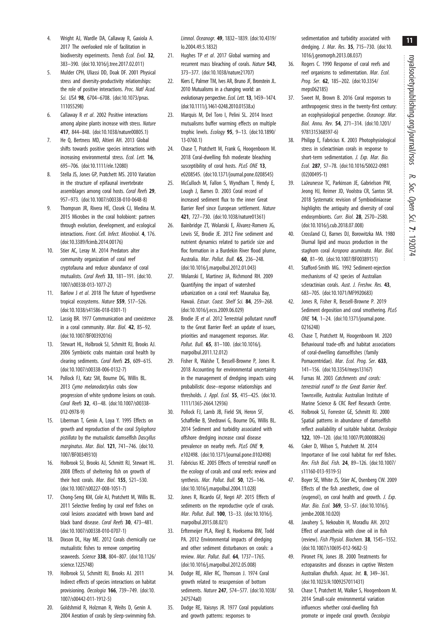11

- <span id="page-10-0"></span>4. Wright AJ, Wardle DA, Callaway R, Gaxiola A. 2017 The overlooked role of facilitation in biodiversity experiments. Trends Ecol. Evol. 32, 383–390. ([doi:10.1016/j.tree.2017.02.011\)](http://dx.doi.org/10.1016/j.tree.2017.02.011)
- 5. Mulder CPH, Uliassi DD, Doak DF. 2001 Physical stress and diversity-productivity relationships: the role of positive interactions. Proc. Natl Acad. Sci. USA 98, 6704-6708. ([doi:10.1073/pnas.](http://dx.doi.org/10.1073/pnas.111055298) [111055298](http://dx.doi.org/10.1073/pnas.111055298))
- 6. Callaway R et al. 2002 Positive interactions among alpine plants increase with stress. Nature 417, 844–848. ([doi:10.1038/nature00805.1\)](http://dx.doi.org/10.1038/nature00805.1)
- 7. He Q, Bertness MD, Altieri AH. 2013 Global shifts towards positive species interactions with increasing environmental stress. Ecol. Lett. 16, 695–706. ([doi:10.1111/ele.12080\)](http://dx.doi.org/10.1111/ele.12080)
- 8. Stella JS, Jones GP, Pratchett MS. 2010 Variation in the structure of epifaunal invertebrate assemblages among coral hosts. Coral Reefs 29, 957–973. ([doi:10.1007/s00338-010-0648-8](http://dx.doi.org/10.1007/s00338-010-0648-8))
- 9. Thompson JR, Rivera HE, Closek CJ, Medina M. 2015 Microbes in the coral holobiont: partners through evolution, development, and ecological interactions. Front. Cell. Infect. Microbiol. 4, 176. ([doi:10.3389/fcimb.2014.00176\)](http://dx.doi.org/10.3389/fcimb.2014.00176)
- 10. Stier AC, Leray M. 2014 Predators alter community organization of coral reef cryptofauna and reduce abundance of coral mutualists. Coral Reefs 33, 181–191. ([doi:10.](http://dx.doi.org/10.1007/s00338-013-1077-2) [1007/s00338-013-1077-2](http://dx.doi.org/10.1007/s00338-013-1077-2))
- 11. Barlow J et al. 2018 The future of hyperdiverse tropical ecosystems. Nature 559, 517–526. ([doi:10.1038/s41586-018-0301-1\)](http://dx.doi.org/10.1038/s41586-018-0301-1)
- 12. Lassig BR. 1977 Communication and coexistence in a coral community. Mar. Biol. 42, 85–92. ([doi:10.1007/BF00392016\)](http://dx.doi.org/10.1007/BF00392016)
- 13. Stewart HL, Holbrook SJ, Schmitt RJ, Brooks AJ. 2006 Symbiotic crabs maintain coral health by clearing sediments. Coral Reefs 25, 609–615. ([doi:10.1007/s00338-006-0132-7\)](http://dx.doi.org/10.1007/s00338-006-0132-7)
- 14. Pollock FJ, Katz SM, Bourne DG, Willis BL. 2013 Cymo melanodactylus crabs slow progression of white syndrome lesions on corals. Coral Reefs 32, 43–48. ([doi:10.1007/s00338-](http://dx.doi.org/10.1007/s00338-012-0978-9) [012-0978-9\)](http://dx.doi.org/10.1007/s00338-012-0978-9)
- 15. Liberman T, Genin A, Loya Y. 1995 Effects on growth and reproduction of the coral Stylophora pistillata by the mutualistic damselfish Dascyllus marginatus. Mar. Biol. 121, 741–746. ([doi:10.](http://dx.doi.org/10.1007/BF00349310) [1007/BF00349310\)](http://dx.doi.org/10.1007/BF00349310)
- 16. Holbrook SJ, Brooks AJ, Schmitt RJ, Stewart HL. 2008 Effects of sheltering fish on growth of their host corals. Mar. Biol. 155, 521-530. ([doi:10.1007/s00227-008-1051-7\)](http://dx.doi.org/10.1007/s00227-008-1051-7)
- 17. Chong-Seng KM, Cole AJ, Pratchett M, Willis BL. 2011 Selective feeding by coral reef fishes on coral lesions associated with brown band and black band disease. Coral Reefs 30, 473-481. ([doi:10.1007/s00338-010-0707-1\)](http://dx.doi.org/10.1007/s00338-010-0707-1)
- 18. Dixson DL, Hay ME. 2012 Corals chemically cue mutualistic fishes to remove competing seaweeds. Science 338, 804-807. [\(doi:10.1126/](http://dx.doi.org/10.1126/science.1225748) [science.1225748](http://dx.doi.org/10.1126/science.1225748))
- 19. Holbrook SJ, Schmitt RJ, Brooks AJ. 2011 Indirect effects of species interactions on habitat provisioning. Oecologia 166, 739–749. ([doi:10.](http://dx.doi.org/10.1007/s00442-011-1912-5) [1007/s00442-011-1912-5](http://dx.doi.org/10.1007/s00442-011-1912-5))
- 20. Goldshmid R, Holzman R, Weihs D, Genin A. 2004 Aeration of corals by sleep-swimming fish.

Limnol. Oceanogr. 49, 1832–1839. ([doi:10.4319/](http://dx.doi.org/10.4319/lo.2004.49.5.1832) [lo.2004.49.5.1832\)](http://dx.doi.org/10.4319/lo.2004.49.5.1832)

- 21. Hughes TP et al. 2017 Global warming and recurrent mass bleaching of corals. Nature 543, 373–377. [\(doi:10.1038/nature21707\)](http://dx.doi.org/10.1038/nature21707)
- 22. Kiers E, Palmer TM, Ives AR, Bruno JF, Bronstein JL. 2010 Mutualisms in a changing world: an evolutionary perspective. Ecol. Lett. 13, 1459–1474. ([doi:10.1111/j.1461-0248.2010.01538.x\)](http://dx.doi.org/10.1111/j.1461-0248.2010.01538.x)
- 23. Marquis M, Del Toro I, Pelini SL. 2014 Insect mutualisms buffer warming effects on multiple trophic levels. Ecology 95, 9–13. [\(doi:10.1890/](http://dx.doi.org/10.1890/13-0760.1) [13-0760.1\)](http://dx.doi.org/10.1890/13-0760.1)
- 24. Chase T, Pratchett M, Frank G, Hoogenboom M. 2018 Coral-dwelling fish moderate bleaching susceptibility of coral hosts. PLoS ONE 13, e0208545. ([doi:10.1371/journal.pone.0208545\)](http://dx.doi.org/10.1371/journal.pone.0208545)
- 25. McCulloch M, Fallon S, Wyndham T, Hendy E, Lough J, Barnes D. 2003 Coral record of increased sediment flux to the inner Great Barrier Reef since European settlement. Nature 421, 727–730. ([doi:10.1038/nature01361](http://dx.doi.org/10.1038/nature01361))
- 26. Bainbridge ZT, Wolanski E, Álvarez-Romero JG, Lewis SE, Brodie JE. 2012 Fine sediment and nutrient dynamics related to particle size and floc formation in a Burdekin River flood plume, Australia. Mar. Pollut. Bull. 65, 236–248. ([doi:10.1016/j.marpolbul.2012.01.043\)](http://dx.doi.org/10.1016/j.marpolbul.2012.01.043)
- 27. Wolanski E, Martinez JA, Richmond RH. 2009 Quantifying the impact of watershed urbanization on a coral reef: Maunalua Bay, Hawaii. Estuar. Coast. Shelf Sci. 84, 259-268. ([doi:10.1016/j.ecss.2009.06.029\)](http://dx.doi.org/10.1016/j.ecss.2009.06.029)
- 28. Brodie JE et al. 2012 Terrestrial pollutant runoff to the Great Barrier Reef: an update of issues, priorities and management responses. Mar. Pollut. Bull. 65, 81–100. ([doi:10.1016/j.](http://dx.doi.org/10.1016/j.marpolbul.2011.12.012) [marpolbul.2011.12.012\)](http://dx.doi.org/10.1016/j.marpolbul.2011.12.012)
- 29. Fisher R, Walshe T, Bessell-Browne P, Jones R. 2018 Accounting for environmental uncertainty in the management of dredging impacts using probabilistic dose–response relationships and thresholds. J. Appl. Ecol. 55, 415–425. [\(doi:10.](http://dx.doi.org/10.1111/1365-2664.12936) [1111/1365-2664.12936](http://dx.doi.org/10.1111/1365-2664.12936))
- 30. Pollock FJ, Lamb JB, Field SN, Heron SF, Schaffelke B, Shedrawi G, Bourne DG, Willis BL. 2014 Sediment and turbidity associated with offshore dredging increase coral disease prevalence on nearby reefs. PLoS ONE 9, e102498. [\(doi:10.1371/journal.pone.0102498\)](http://dx.doi.org/10.1371/journal.pone.0102498)
- 31. Fabricius KE. 2005 Effects of terrestrial runoff on the ecology of corals and coral reefs: review and synthesis. Mar. Pollut. Bull. 50, 125-146. ([doi:10.1016/j.marpolbul.2004.11.028\)](http://dx.doi.org/10.1016/j.marpolbul.2004.11.028)
- 32. Jones R, Ricardo GF, Negri AP. 2015 Effects of sediments on the reproductive cycle of corals. Mar. Pollut. Bull. 100, 13–33. [\(doi:10.1016/j.](http://dx.doi.org/10.1016/j.marpolbul.2015.08.021) [marpolbul.2015.08.021\)](http://dx.doi.org/10.1016/j.marpolbul.2015.08.021)
- 33. Erftemeijer PLA, Riegl B, Hoeksema BW, Todd PA. 2012 Environmental impacts of dredging and other sediment disturbances on corals: a review. Mar. Pollut. Bull. 64, 1737–1765. ([doi:10.1016/j.marpolbul.2012.05.008\)](http://dx.doi.org/10.1016/j.marpolbul.2012.05.008)
- 34. Dodge RE, Aller RC, Thomson J. 1974 Coral growth related to resuspension of bottom sediments. Nature 247, 574–577. ([doi:10.1038/](http://dx.doi.org/10.1038/247574a0) [247574a0](http://dx.doi.org/10.1038/247574a0))
- 35. Dodge RE, Vaisnys JR. 1977 Coral populations and growth patterns: responses to

sedimentation and turbidity associated with dredging. J. Mar. Res. 35, 715–730. ([doi:10.](http://dx.doi.org/10.1016/j.geomorph.2013.08.037) [1016/j.geomorph.2013.08.037\)](http://dx.doi.org/10.1016/j.geomorph.2013.08.037)

- 36. Rogers C. 1990 Response of coral reefs and reef organisms to sedimentation. Mar. Ecol. Prog. Ser. 62, 185–202. [\(doi:10.3354/](http://dx.doi.org/10.3354/meps062185) [meps062185\)](http://dx.doi.org/10.3354/meps062185)
- 37. Sweet M, Brown B. 2016 Coral responses to anthropogenic stress in the twenty-first century: an ecophysiological perspective. Oceanogr. Mar. Biol. Annu. Rev. 54, 271–314. ([doi:10.1201/](http://dx.doi.org/10.1201/9781315368597-6) [9781315368597-6\)](http://dx.doi.org/10.1201/9781315368597-6)
- 38. Philipp E, Fabricius K. 2003 Photophysiological stress in scleractinian corals in response to short-term sedimentation. J. Exp. Mar. Bio. Ecol. 287, 57–78. [\(doi:10.1016/S0022-0981](http://dx.doi.org/10.1016/S0022-0981(02)00495-1) [\(02\)00495-1\)](http://dx.doi.org/10.1016/S0022-0981(02)00495-1)
- 39. LaJeunesse TC, Parkinson JE, Gabrielson PW, Jeong HJ, Reimer JD, Voolstra CR, Santos SR. 2018 Systematic revision of Symbiodiniaceae highlights the antiquity and diversity of coral endosymbionts. Curr. Biol. 28, 2570–2580. [\(doi:10.1016/j.cub.2018.07.008\)](http://dx.doi.org/10.1016/j.cub.2018.07.008)
- 40. Crossland CJ, Barnes DJ, Borowitzka MA. 1980 Diurnal lipid and mucus production in the staghorn coral Acropora acuminata. Mar. Biol. 60, 81–90. ([doi:10.1007/BF00389151](http://dx.doi.org/10.1007/BF00389151))
- 41. Stafford-Smith MG. 1992 Sediment-rejection mechanisms of 42 species of Australian scleractinian corals. Aust. J. Freshw. Res. 43, 683–705. ([doi:10.1071/MF9920683\)](http://dx.doi.org/10.1071/MF9920683)
- 42. Jones R, Fisher R, Bessell-Browne P. 2019 Sediment deposition and coral smothering. PLoS ONE 14, 1–24. [\(doi:10.1371/journal.pone.](http://dx.doi.org/10.1371/journal.pone.0216248) [0216248](http://dx.doi.org/10.1371/journal.pone.0216248))
- 43. Chase T, Pratchett M, Hoogenboom M. 2020 Behavioural trade-offs and habitat associations of coral-dwelling damselfishes (family Pomacentridae). Mar. Ecol. Prog. Ser. 633, 141–156. ([doi:10.3354/meps13167](http://dx.doi.org/10.3354/meps13167))
- 44. Furnas M. 2003 Catchments and corals: terrestrial runoff to the Great Barrier Reef. Townsville, Australia: Australian Institute of Marine Science & CRC Reef Research Centre.
- 45. Holbrook SJ, Forrester GE, Schmitt RJ. 2000 Spatial patterns in abundance of damselfish reflect availability of suitable habitat. Oecologia 122, 109–120. [\(doi:10.1007/PL00008826](http://dx.doi.org/10.1007/PL00008826))
- 46. Coker D, Wilson S, Pratchett M. 2014 Importance of live coral habitat for reef fishes. Rev. Fish Biol. Fish. 24, 89–126. [\(doi:10.1007/](http://dx.doi.org/10.1007/s11160-013-9319-5) [s11160-013-9319-5](http://dx.doi.org/10.1007/s11160-013-9319-5))
- 47. Boyer SE, White JS, Stier AC, Osenberg CW. 2009 Effects of the fish anesthetic, clove oil (eugenol), on coral health and growth. J. Exp. Mar. Bio. Ecol. 369, 53–57. [\(doi:10.1016/j.](http://dx.doi.org/10.1016/j.jembe.2008.10.020) [jembe.2008.10.020](http://dx.doi.org/10.1016/j.jembe.2008.10.020))
- 48. Javahery S, Nekoubin H, Moradlu AH. 2012 Effect of anaesthesia with clove oil in fish (review). Fish Physiol. Biochem. 38, 1545–1552. [\(doi:10.1007/s10695-012-9682-5](http://dx.doi.org/10.1007/s10695-012-9682-5))
- 49. Pironet FN, Jones JB. 2000 Treatments for ectoparasites and diseases in captive Western Australian dhufish. Aquac. Int. 8, 349-361. [\(doi:10.1023/A:1009257011431\)](http://dx.doi.org/10.1023/A:1009257011431)
- 50. Chase T, Pratchett M, Walker S, Hoogenboom M. 2014 Small-scale environmental variation influences whether coral-dwelling fish promote or impede coral growth. Oecologia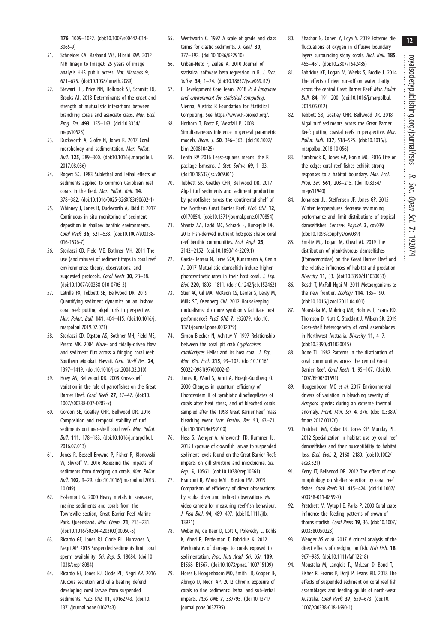<span id="page-11-0"></span>176, 1009–1022. [\(doi:10.1007/s00442-014-](http://dx.doi.org/10.1007/s00442-014-3065-9) [3065-9](http://dx.doi.org/10.1007/s00442-014-3065-9))

- 51. Schneider CA, Rasband WS, Eliceiri KW. 2012 NIH Image to ImageJ: 25 years of image analysis HHS public access. Nat. Methods 9, 671–675. ([doi:10.1038/nmeth.2089](http://dx.doi.org/10.1038/nmeth.2089))
- 52. Stewart HL, Price NN, Holbrook SJ, Schmitt RJ, Brooks AJ. 2013 Determinants of the onset and strength of mutualistic interactions between branching corals and associate crabs. Mar. Ecol. Prog. Ser. 493, 155–163. ([doi:10.3354/](http://dx.doi.org/10.3354/meps10525) [meps10525\)](http://dx.doi.org/10.3354/meps10525)
- 53. Duckworth A, Giofre N, Jones R. 2017 Coral morphology and sedimentation. Mar. Pollut. Bull. 125, 289–300. [\(doi:10.1016/j.marpolbul.](http://dx.doi.org/10.1016/j.marpolbul.2017.08.036) [2017.08.036](http://dx.doi.org/10.1016/j.marpolbul.2017.08.036))
- 54. Rogers SC. 1983 Sublethal and lethal effects of sediments applied to common Caribbean reef corals in the field. Mar. Pollut. Bull. 14, 378–382. ([doi:10.1016/0025-326X\(83\)90602-1](http://dx.doi.org/10.1016/0025-326X(83)90602-1))
- 55. Whinney J, Jones R, Duckworth A, Ridd P. 2017 Continuous in situ monitoring of sediment deposition in shallow benthic environments. Coral Reefs 36, 521–533. [\(doi:10.1007/s00338-](http://dx.doi.org/10.1007/s00338-016-1536-7) [016-1536-7\)](http://dx.doi.org/10.1007/s00338-016-1536-7)
- 56. Storlazzi CD, Field ME, Bothner MH. 2011 The use (and misuse) of sediment traps in coral reef environments: theory, observations, and suggested protocols. Coral Reefs 30, 23-38. ([doi:10.1007/s00338-010-0705-3\)](http://dx.doi.org/10.1007/s00338-010-0705-3)
- 57. Latrille FX, Tebbett SB, Bellwood DR. 2019 Quantifying sediment dynamics on an inshore coral reef: putting algal turfs in perspective. Mar. Pollut. Bull. 141, 404–415. [\(doi:10.1016/j.](http://dx.doi.org/10.1016/j.marpolbul.2019.02.071) [marpolbul.2019.02.071](http://dx.doi.org/10.1016/j.marpolbul.2019.02.071))
- 58. Storlazzi CD, Ogston AS, Bothner MH, Field ME, Presto MK. 2004 Wave- and tidally-driven flow and sediment flux across a fringing coral reef: Southern Molokai, Hawaii. Cont. Shelf Res. 24, 1397–1419. [\(doi:10.1016/j.csr.2004.02.010](http://dx.doi.org/10.1016/j.csr.2004.02.010))
- 59. Hoey AS, Bellwood DR. 2008 Cross-shelf variation in the role of parrotfishes on the Great Barrier Reef. Coral Reefs 27, 37–47. [\(doi:10.](http://dx.doi.org/10.1007/s00338-007-0287-x) [1007/s00338-007-0287-x\)](http://dx.doi.org/10.1007/s00338-007-0287-x)
- 60. Gordon SE, Goatley CHR, Bellwood DR. 2016 Composition and temporal stability of turf sediments on inner-shelf coral reefs. Mar. Pollut. Bull. 111, 178–183. [\(doi:10.1016/j.marpolbul.](http://dx.doi.org/10.1016/j.marpolbul.2016.07.013) [2016.07.013](http://dx.doi.org/10.1016/j.marpolbul.2016.07.013))
- 61. Jones R, Bessell-Browne P, Fisher R, Klonowski W, Slivkoff M. 2016 Assessing the impacts of sediments from dredging on corals. Mar. Pollut. Bull. 102, 9–29. ([doi:10.1016/j.marpolbul.2015.](http://dx.doi.org/10.1016/j.marpolbul.2015.10.049) [10.049\)](http://dx.doi.org/10.1016/j.marpolbul.2015.10.049)
- 62. Esslemont G. 2000 Heavy metals in seawater, marine sediments and corals from the Townsville section, Great Barrier Reef Marine Park, Queensland. Mar. Chem. 71, 215-231. ([doi:10.1016/S0304-4203\(00\)00050-5](http://dx.doi.org/10.1016/S0304-4203(00)00050-5))
- 63. Ricardo GF, Jones RJ, Clode PL, Humanes A, Negri AP. 2015 Suspended sediments limit coral sperm availability. Sci. Rep. 5, 18084. ([doi:10.](http://dx.doi.org/10.1038/srep18084) [1038/srep18084\)](http://dx.doi.org/10.1038/srep18084)
- 64. Ricardo GF, Jones RJ, Clode PL, Negri AP. 2016 Mucous secretion and cilia beating defend developing coral larvae from suspended sediments. PLoS ONE 11, e0162743. [\(doi:10.](http://dx.doi.org/10.1371/journal.pone.0162743) [1371/journal.pone.0162743](http://dx.doi.org/10.1371/journal.pone.0162743))
- 65. Wentworth C. 1992 A scale of grade and class terms for clastic sediments. J. Geol. 30, 377–392. [\(doi:10.1086/622910](http://dx.doi.org/10.1086/622910))
- 66. Cribari-Neto F, Zeileis A. 2010 Journal of statistical software beta regression in R. J. Stat. Softw. 34, 1–24. [\(doi:10.18637/jss.v069.i12\)](http://dx.doi.org/10.18637/jss.v069.i12)
- 67. R Development Core Team. 2018 R: A language and environment for statistical computing. Vienna, Austria: R Foundation for Statistical Computing. See<https://www.R-project.org/>.
- 68. Hothorn T, Bretz F, Westfall P. 2008 Simultananeous inference in general parametric models. Biom. J. 50, 346–363. [\(doi:10.1002/](http://dx.doi.org/10.1002/bimj.200810425) [bimj.200810425\)](http://dx.doi.org/10.1002/bimj.200810425)
- 69. Lenth RV 2016 Least-squares means: the R package Ismeans. J. Stat. Softw. 69, 1-33. ([doi:10.18637/jss.v069.i01\)](http://dx.doi.org/10.18637/jss.v069.i01)
- 70. Tebbett SB, Goatley CHR, Bellwood DR. 2017 Algal turf sediments and sediment production by parrotfishes across the continental shelf of the Northern Great Barrier Reef. PLoS ONE 12, e0170854. ([doi:10.1371/journal.pone.0170854\)](http://dx.doi.org/10.1371/journal.pone.0170854)
- 71. Shantz AA, Ladd MC, Schrack E, Burkepile DE. 2015 Fish-derived nutrient hotspots shape coral reef benthic communities. Ecol. Appl. 25, 2142–2152. ([doi:10.1890/14-2209.1\)](http://dx.doi.org/10.1890/14-2209.1)
- 72. Garcia-Herrera N, Ferse SCA, Kunzmann A, Genin A. 2017 Mutualistic damselfish induce higher photosynthetic rates in their host coral. J. Exp. Biol. 220, 1803–1811. ([doi:10.1242/jeb.152462\)](http://dx.doi.org/10.1242/jeb.152462)
- 73. Stier AC, Gil MA, McKeon CS, Lemer S, Leray M, Mills SC, Osenberg CW. 2012 Housekeeping mutualisms: do more symbionts facilitate host performance? PLoS ONE 7, e32079. ([doi:10.](http://dx.doi.org/10.1371/journal.pone.0032079) [1371/journal.pone.0032079](http://dx.doi.org/10.1371/journal.pone.0032079))
- 74. Simon-Blecher N, Achituv Y. 1997 Relationship between the coral pit crab Cryptochirus coralliodytes Heller and its host coral. J. Exp. Mar. Bio. Ecol. 215, 93–102. [\(doi:10.1016/](http://dx.doi.org/10.1016/S0022-0981(97)00002-6) [S0022-0981\(97\)00002-6](http://dx.doi.org/10.1016/S0022-0981(97)00002-6))
- 75. Jones R, Ward S, Amri A, Hoegh-Guldberg O. 2000 Changes in quantum efficiency of Photosystem II of symbiotic dinoflagellates of corals after heat stress, and of bleached corals sampled after the 1998 Great Barrier Reef mass bleaching event. Mar. Freshw. Res. 51, 63–71. ([doi:10.1071/MF99100\)](http://dx.doi.org/10.1071/MF99100)
- 76. Hess S, Wenger A, Ainsworth TD, Rummer JL. 2015 Exposure of clownfish larvae to suspended sediment levels found on the Great Barrier Reef: impacts on gill structure and microbiome. Sci. Rep. 5, 10561. ([doi:10.1038/srep10561](http://dx.doi.org/10.1038/srep10561))
- 77. Branconi R, Wong MYL, Buston PM. 2019 Comparison of efficiency of direct observations by scuba diver and indirect observations via video camera for measuring reef-fish behaviour. J. Fish Biol. 94, 489–497. ([doi:10.1111/jfb.](http://dx.doi.org/10.1111/jfb.13921) [13921\)](http://dx.doi.org/10.1111/jfb.13921)
- 78. Weber M, de Beer D, Lott C, Polerecky L, Kohls K, Abed R, Ferdelman T, Fabricius K. 2012 Mechanisms of damage to corals exposed to sedimentation. Proc. Natl Acad. Sci. USA 109, E1558–E1567. [\(doi:10.1073/pnas.1100715109](http://dx.doi.org/10.1073/pnas.1100715109))
- 79. Flores F, Hoogenboom MO, Smith LD, Cooper TF, Abrego D, Negri AP. 2012 Chronic exposure of corals to fine sediments: lethal and sub-lethal impacts. PLoS ONE 7, 337795. ([doi:10.1371/](http://dx.doi.org/10.1371/journal.pone.0037795) [journal.pone.0037795\)](http://dx.doi.org/10.1371/journal.pone.0037795)
- 80. Shashar N, Cohen Y, Loya Y. 2019 Extreme diel fluctuations of oxygen in diffusive boundary layers surrounding stony corals. Biol. Bull. 185, 455–461. ([doi:10.2307/1542485\)](http://dx.doi.org/10.2307/1542485)
- 81. Fabricius KE, Logan M, Weeks S, Brodie J. 2014 The effects of river run-off on water clarity across the central Great Barrier Reef. Mar. Pollut. Bull. 84, 191–200. ([doi:10.1016/j.marpolbul.](http://dx.doi.org/10.1016/j.marpolbul.2014.05.012) [2014.05.012\)](http://dx.doi.org/10.1016/j.marpolbul.2014.05.012)
- 82. Tebbett SB, Goatley CHR, Bellwood DR. 2018 Algal turf sediments across the Great Barrier Reef: putting coastal reefs in perspective. Mar. Pollut. Bull. 137, 518–525. [\(doi:10.1016/j.](http://dx.doi.org/10.1016/j.marpolbul.2018.10.056) [marpolbul.2018.10.056\)](http://dx.doi.org/10.1016/j.marpolbul.2018.10.056)
- 83. Sambrook K, Jones GP, Bonin MC. 2016 Life on the edge: coral reef fishes exhibit strong responses to a habitat boundary. Mar. Ecol. Prog. Ser. 561, 203–215. [\(doi:10.3354/](http://dx.doi.org/10.3354/meps11940) [meps11940\)](http://dx.doi.org/10.3354/meps11940)
- 84. Johansen JL, Steffensen JF, Jones GP. 2015 Winter temperatures decrease swimming performance and limit distributions of tropical damselfishes. Conserv. Physiol. 3, cov039. [\(doi:10.1093/conphys/cov039\)](http://dx.doi.org/10.1093/conphys/cov039)
- 85. Emslie MJ, Logan M, Cheal AJ. 2019 The distribution of planktivorous damselfishes (Pomacentridae) on the Great Barrier Reef and the relative influences of habitat and predation. Diversity 11, 33. ([doi:10.3390/d11030033\)](http://dx.doi.org/10.3390/d11030033)
- 86. Bosch T, McFall-Ngai M. 2011 Metaorganisms as the new frontier. Zoology 114, 185-190. [\(doi:10.1016/j.zool.2011.04.001](http://dx.doi.org/10.1016/j.zool.2011.04.001))
- 87. Moustaka M, Mohring MB, Holmes T, Evans RD, Thomson D, Nutt C, Stoddart J, Wilson SK. 2019 Cross-shelf heterogeneity of coral assemblages in Northwest Australia. Diversity 11, 4–7. [\(doi:10.3390/d11020015\)](http://dx.doi.org/10.3390/d11020015)
- 88. Done TJ. 1982 Patterns in the distribution of coral communities across the central Great Barrier Reef. Coral Reefs 1, 95-107. [\(doi:10.](http://dx.doi.org/10.1007/BF00301691) [1007/BF00301691\)](http://dx.doi.org/10.1007/BF00301691)
- 89. Hoogenboom MO et al. 2017 Environmental drivers of variation in bleaching severity of Acropora species during an extreme thermal anomaly. Front. Mar. Sci. 4, 376. ([doi:10.3389/](http://dx.doi.org/10.3389/fmars.2017.00376) [fmars.2017.00376\)](http://dx.doi.org/10.3389/fmars.2017.00376)
- 90. Pratchett MS, Coker DJ, Jones GP, Munday PL. 2012 Specialization in habitat use by coral reef damselfishes and their susceptibility to habitat loss. Ecol. Evol. 2, 2168–2180. ([doi:10.1002/](http://dx.doi.org/10.1002/ece3.321) [ece3.321\)](http://dx.doi.org/10.1002/ece3.321)
- 91. Kerry JT, Bellwood DR. 2012 The effect of coral morphology on shelter selection by coral reef fishes. Coral Reefs 31, 415–424. ([doi:10.1007/](http://dx.doi.org/10.1007/s00338-011-0859-7) [s00338-011-0859-7](http://dx.doi.org/10.1007/s00338-011-0859-7))
- 92. Pratchett M, Vytopil E, Parks P. 2000 Coral crabs influence the feeding patterns of crown-ofthorns starfish. Coral Reefs 19, 36. ([doi:10.1007/](http://dx.doi.org/10.1007/s003380050223) [s003380050223](http://dx.doi.org/10.1007/s003380050223))
- 93. Wenger AS et al. 2017 A critical analysis of the direct effects of dredging on fish. Fish Fish. 18, 967–985. ([doi:10.1111/faf.12218](http://dx.doi.org/10.1111/faf.12218))
- 94. Moustaka M, Langlois TJ, McLean D, Bond T, Fisher R, Fearns P, Dorji P, Evans RD. 2018 The effects of suspended sediment on coral reef fish assemblages and feeding guilds of north-west Australia. Coral Reefs 37, 659–673. [\(doi:10.](http://dx.doi.org/10.1007/s00338-018-1690-1) [1007/s00338-018-1690-1\)](http://dx.doi.org/10.1007/s00338-018-1690-1)

#### 12